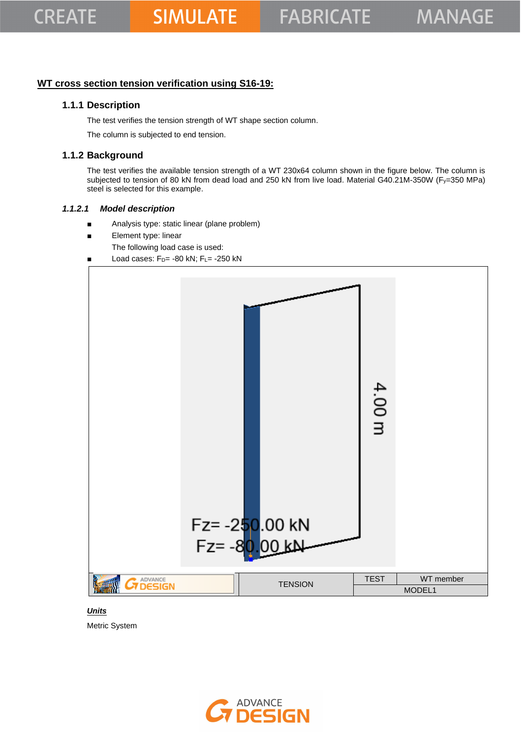# **WT cross section tension verification using S16-19:**

# **1.1.1 Description**

The test verifies the tension strength of WT shape section column.

The column is subjected to end tension.

# **1.1.2 Background**

The test verifies the available tension strength of a WT 230x64 column shown in the figure below. The column is subjected to tension of 80 kN from dead load and 250 kN from live load. Material G40.21M-350W (Fy=350 MPa) steel is selected for this example.

#### *1.1.2.1 Model description*

- Analysis type: static linear (plane problem)
- Element type: linear
	- The following load case is used:
- Load cases:  $F_D$  = -80 kN;  $F_L$  = -250 kN



### *Units*

Metric System

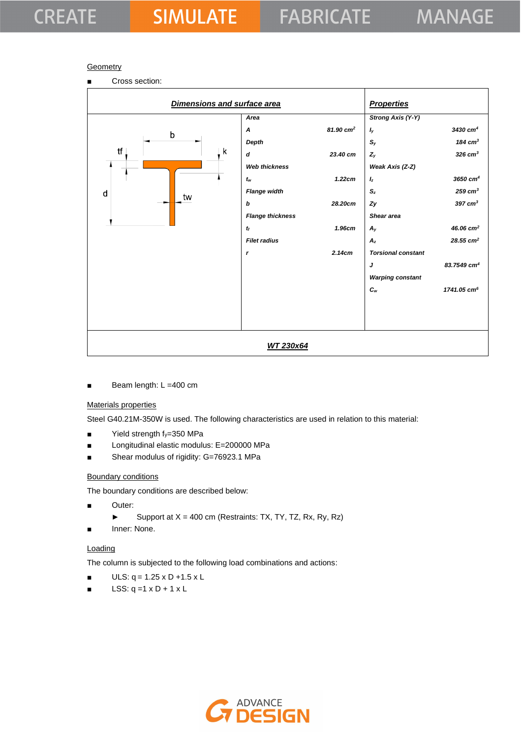# **CREATE**

## **Geometry**

■ Cross section:

| Dimensions and surface area |                                     |                      | <b>Properties</b>                            |                                              |
|-----------------------------|-------------------------------------|----------------------|----------------------------------------------|----------------------------------------------|
| b                           | Area<br>$\boldsymbol{A}$<br>Depth   | $81.90 \text{ cm}^2$ | <b>Strong Axis (Y-Y)</b><br>$I_y$<br>$S_{y}$ | 3430 cm <sup>4</sup><br>184 $cm3$            |
| tf<br>k                     | d<br><b>Web thickness</b>           | 23.40 cm             | $Z_{y}$<br>Weak Axis (Z-Z)                   | $326$ cm <sup>3</sup>                        |
| d                           | $t_{w}$<br><b>Flange width</b>      | 1.22cm               | $I_z$<br>$S_z$                               | $3650$ cm <sup>4</sup><br>$259 \text{ cm}^3$ |
| tw                          | b                                   | 28.20cm              | Zy                                           | $397 \text{ cm}^3$                           |
|                             | <b>Flange thickness</b><br>$t_f$    | 1.96cm               | Shear area<br>$A_{y}$                        | 46.06 $cm2$                                  |
|                             | <b>Filet radius</b><br>$\mathbf{r}$ | 2.14cm               | $A_z$<br><b>Torsional constant</b>           | $28.55$ cm <sup>2</sup>                      |
|                             |                                     |                      | J<br><b>Warping constant</b>                 | 83.7549 cm <sup>4</sup>                      |
|                             |                                     |                      | $c_{w}$                                      | 1741.05 cm <sup>6</sup>                      |
|                             |                                     |                      |                                              |                                              |
|                             | WT 230x64                           |                      |                                              |                                              |

Beam length: L =400 cm

## Materials properties

Steel G40.21M-350W is used. The following characteristics are used in relation to this material:

- $\blacksquare$  Yield strength  $f_y=350$  MPa
- Longitudinal elastic modulus: E=200000 MPa
- Shear modulus of rigidity: G=76923.1 MPa

#### Boundary conditions

The boundary conditions are described below:

- Outer:
	- ► Support at  $X = 400$  cm (Restraints: TX, TY, TZ, Rx, Ry, Rz)
- Inner: None.

#### **Loading**

The column is subjected to the following load combinations and actions:

- $ULS: q = 1.25 \times D + 1.5 \times L$
- $\blacksquare$  LSS: q =1 x D + 1 x L

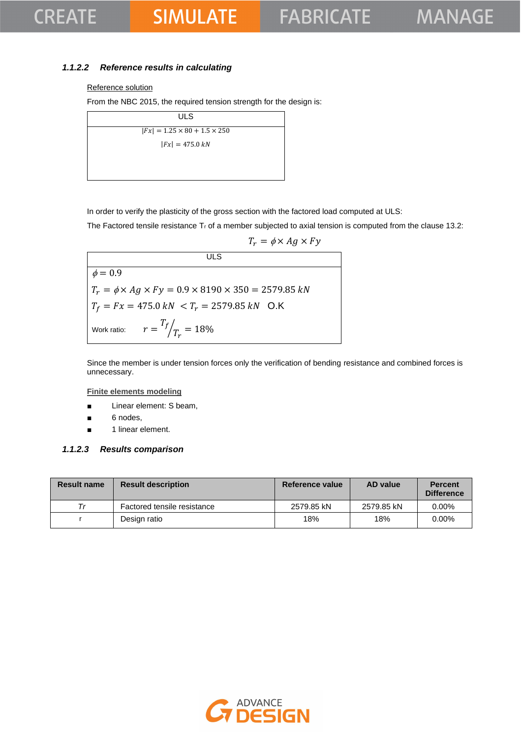# **CREATE**

# **SIMULATE**

# *1.1.2.2 Reference results in calculating*

#### Reference solution

From the NBC 2015, the required tension strength for the design is:

| ULS                                      |  |
|------------------------------------------|--|
| $ Fx  = 1.25 \times 80 + 1.5 \times 250$ |  |
| $ Fx  = 475.0 kN$                        |  |
|                                          |  |
|                                          |  |

In order to verify the plasticity of the gross section with the factored load computed at ULS:

The Factored tensile resistance Tr of a member subjected to axial tension is computed from the clause 13.2:

$$
T_r = \phi \times Ag \times Fy
$$

ULS  $\phi = 0.9$  $T_r = \phi \times Ag \times Fy = 0.9 \times 8190 \times 350 = 2579.85 kN$  $T_f = Fx = 475.0 \text{ kN } < T_r = 2579.85 \text{ kN }$  O.K Work ratio:  $T_f$  $\sqrt{T_r} = 18\%$ 

Since the member is under tension forces only the verification of bending resistance and combined forces is unnecessary.

#### **Finite elements modeling**

- Linear element: S beam,
- 6 nodes,
- 1 linear element.

#### *1.1.2.3 Results comparison*

| <b>Result name</b> | <b>Result description</b>   | Reference value | <b>AD</b> value | <b>Percent</b><br><b>Difference</b> |
|--------------------|-----------------------------|-----------------|-----------------|-------------------------------------|
| Тr                 | Factored tensile resistance | 2579.85 kN      | 2579.85 kN      | $0.00\%$                            |
|                    | Design ratio                | 18%             | 18%             | $0.00\%$                            |